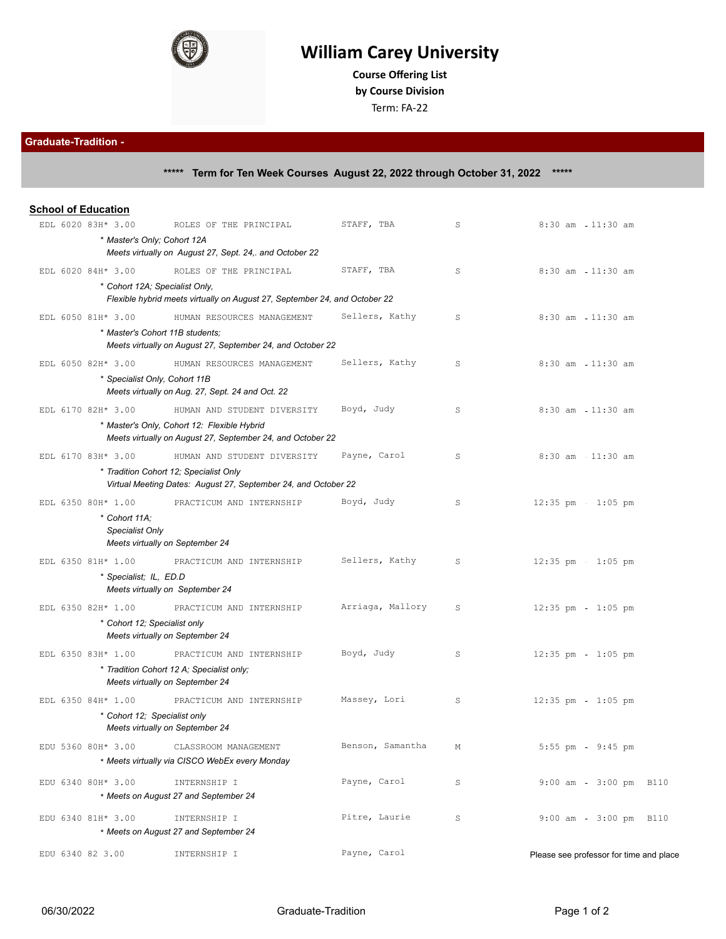

## **William Carey University**

**Course Offering List by Course Division**

Term: FA-22

**Graduate-Tradition - \*\*\*\*\* Term for Ten Week Courses August 22, 2022 through October 31, 2022 \*\*\*\*\***

|  | <b>School of Education</b>       |                                                                                                          |                  |             |                                         |
|--|----------------------------------|----------------------------------------------------------------------------------------------------------|------------------|-------------|-----------------------------------------|
|  | EDL 6020 83H* 3.00               | ROLES OF THE PRINCIPAL                                                                                   | STAFF, TBA       | S           | $8:30$ am<br>$11:30$ am                 |
|  | * Master's Only; Cohort 12A      |                                                                                                          |                  |             |                                         |
|  |                                  | Meets virtually on August 27, Sept. 24,. and October 22                                                  |                  |             |                                         |
|  | EDL 6020 84H* 3.00               | ROLES OF THE PRINCIPAL                                                                                   | STAFF, TBA       | S           | $8:30$ am<br>$11:30$ am                 |
|  | * Cohort 12A; Specialist Only,   |                                                                                                          |                  |             |                                         |
|  |                                  | Flexible hybrid meets virtually on August 27, September 24, and October 22                               |                  |             |                                         |
|  | EDL 6050 81H* 3.00               | HUMAN RESOURCES MANAGEMENT                                                                               | Sellers, Kathy   | S           | $8:30$ am<br>$11:30$ am                 |
|  | * Master's Cohort 11B students:  | Meets virtually on August 27, September 24, and October 22                                               |                  |             |                                         |
|  | EDL 6050 82H* 3.00               | HUMAN RESOURCES MANAGEMENT                                                                               | Sellers, Kathy   | S           | $8:30$ am<br>$11:30$ am                 |
|  | * Specialist Only, Cohort 11B    |                                                                                                          |                  |             |                                         |
|  |                                  | Meets virtually on Aug. 27, Sept. 24 and Oct. 22                                                         |                  |             |                                         |
|  | EDL 6170 82H* 3.00               | HUMAN AND STUDENT DIVERSITY                                                                              | Boyd, Judy       | S           | $8:30$ am $-11:30$ am                   |
|  |                                  | * Master's Only, Cohort 12: Flexible Hybrid                                                              |                  |             |                                         |
|  |                                  | Meets virtually on August 27, September 24, and October 22                                               |                  |             |                                         |
|  | EDL 6170 83H* 3.00               | HUMAN AND STUDENT DIVERSITY                                                                              | Payne, Carol     | S           | $8:30$ am $-11:30$ am                   |
|  |                                  | * Tradition Cohort 12; Specialist Only<br>Virtual Meeting Dates: August 27, September 24, and October 22 |                  |             |                                         |
|  | EDL 6350 80H* 1.00               | PRACTICUM AND INTERNSHIP                                                                                 | Boyd, Judy       | S           | $12:35$ pm - $1:05$ pm                  |
|  | * Cohort 11A:<br>Specialist Only | Meets virtually on September 24                                                                          |                  |             |                                         |
|  | EDL 6350 81H* 1.00               | PRACTICUM AND INTERNSHIP                                                                                 | Sellers, Kathy   | S           | $12:35$ pm - $1:05$ pm                  |
|  | * Specialist; IL, ED.D           |                                                                                                          |                  |             |                                         |
|  |                                  | Meets virtually on September 24                                                                          |                  |             |                                         |
|  | EDL 6350 82H* 1.00               | PRACTICUM AND INTERNSHIP                                                                                 | Arriaga, Mallory | S           | $12:35$ pm<br>$1:05$ pm                 |
|  | * Cohort 12; Specialist only     | Meets virtually on September 24                                                                          |                  |             |                                         |
|  | EDL 6350 83H* 1.00               | PRACTICUM AND INTERNSHIP                                                                                 | Boyd, Judy       | S           | $12:35$ pm<br>$1:05$ pm                 |
|  |                                  | * Tradition Cohort 12 A; Specialist only;                                                                |                  |             |                                         |
|  |                                  | Meets virtually on September 24                                                                          |                  |             |                                         |
|  | EDL 6350 84H* 1.00               | PRACTICUM AND INTERNSHIP                                                                                 | Massey, Lori     | S           | $12:35$ pm<br>$1:05$ pm                 |
|  | * Cohort 12; Specialist only     | Meets virtually on September 24                                                                          |                  |             |                                         |
|  | EDU 5360 80H* 3.00               | CLASSROOM MANAGEMENT                                                                                     | Benson, Samantha | М           | $5:55$ pm<br>$9:45$ pm                  |
|  |                                  | * Meets virtually via CISCO WebEx every Monday                                                           |                  |             |                                         |
|  | EDU 6340 80H* 3.00               | INTERNSHIP I                                                                                             | Payne, Carol     | $\mathtt S$ | 9:00 am - 3:00 pm B110                  |
|  |                                  | * Meets on August 27 and September 24                                                                    |                  |             |                                         |
|  | EDU 6340 81H* 3.00               | INTERNSHIP I                                                                                             | Pitre, Laurie    | S           | 9:00 am - 3:00 pm B110                  |
|  |                                  | * Meets on August 27 and September 24                                                                    |                  |             |                                         |
|  | EDU 6340 82 3.00                 | INTERNSHIP I                                                                                             | Payne, Carol     |             | Please see professor for time and place |
|  |                                  |                                                                                                          |                  |             |                                         |